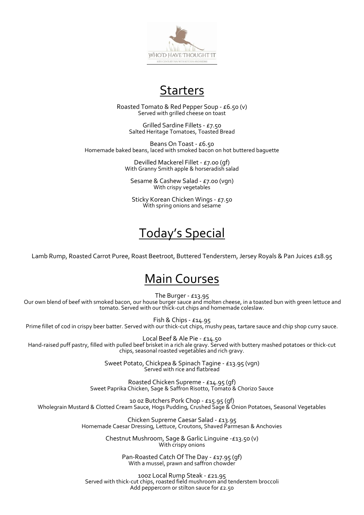

### Starters

Roasted Tomato & Red Pepper Soup - £6.50 (v) Served with grilled cheese on toast

Grilled Sardine Fillets - £7.50 Salted Heritage Tomatoes, Toasted Bread

Beans On Toast - £6.50 Homemade baked beans, laced with smoked bacon on hot buttered baguette

> Devilled Mackerel Fillet - £7.00 (gf) With Granny Smith apple & horseradish salad

Sesame & Cashew Salad - £7.00 (vgn) With crispy vegetables

Sticky Korean Chicken Wings - £7.50 With spring onions and sesame

# Today's Special

Lamb Rump, Roasted Carrot Puree, Roast Beetroot, Buttered Tenderstem, Jersey Royals & Pan Juices £18.95

### Main Courses

The Burger - £13.95

Our own blend of beef with smoked bacon, our house burger sauce and molten cheese, in a toasted bun with green lettuce and tomato. Served with our thick-cut chips and homemade coleslaw.

Fish & Chips - £14.95 Prime fillet of cod in crispy beer batter. Served with our thick-cut chips, mushy peas, tartare sauce and chip shop curry sauce.

Local Beef & Ale Pie - £14.50 Hand-raised puff pastry, filled with pulled beef brisket in a rich ale gravy. Served with buttery mashed potatoes or thick-cut chips, seasonal roasted vegetables and rich gravy.

> Sweet Potato, Chickpea & Spinach Tagine - £13.95 (vgn) Served with rice and flatbread

Roasted Chicken Supreme - £14.95 (gf) Sweet Paprika Chicken, Sage & Saffron Risotto, Tomato & Chorizo Sauce

10 0z Butchers Pork Chop - £15.95 (gf) Wholegrain Mustard & Clotted Cream Sauce, Hogs Pudding, Crushed Sage & Onion Potatoes, Seasonal Vegetables

> Chicken Supreme Caesar Salad - £13.95 Homemade Caesar Dressing, Lettuce, Croutons, Shaved Parmesan & Anchovies

> > Chestnut Mushroom, Sage & Garlic Linguine -£13.50 (v) With crispy onions

> > > Pan-Roasted Catch Of The Day - £17.95 (gf) With a mussel, prawn and saffron chowder

10oz Local Rump Steak - £21.95 Served with thick-cut chips, roasted field mushroom and tenderstem broccoli Add peppercorn or stilton sauce for £2.50